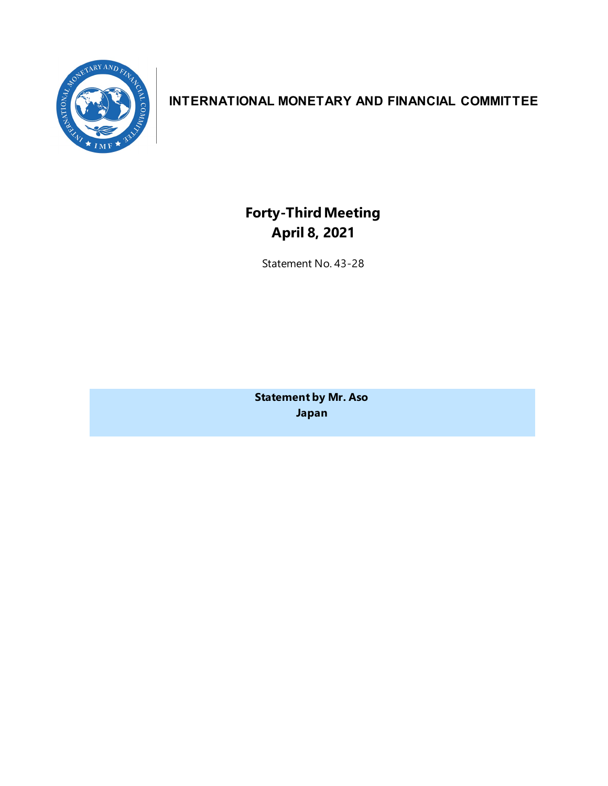

# **INTERNATIONAL MONETARY AND FINANCIAL COMMITTEE**

**Forty-ThirdMeeting April 8, 2021**

Statement No. 43-28

**Statement by Mr. Aso Japan**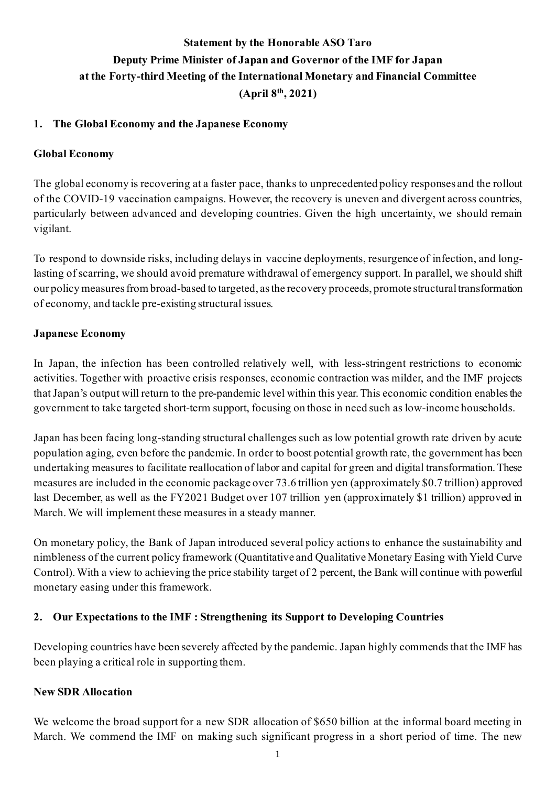# **Statement by the Honorable ASO Taro Deputy Prime Minister of Japan and Governor of the IMF for Japan at the Forty-third Meeting of the International Monetary and Financial Committee (April 8th, 2021)**

#### **1. The Global Economy and the Japanese Economy**

#### **Global Economy**

The global economy is recovering at a faster pace, thanks to unprecedented policy responses and the rollout of the COVID-19 vaccination campaigns. However, the recovery is uneven and divergent across countries, particularly between advanced and developing countries. Given the high uncertainty, we should remain vigilant.

To respond to downside risks, including delays in vaccine deployments, resurgence of infection, and longlasting of scarring, we should avoid premature withdrawal of emergency support. In parallel, we should shift our policy measures from broad-based to targeted, as the recovery proceeds, promote structural transformation of economy, and tackle pre-existing structural issues.

#### **Japanese Economy**

In Japan, the infection has been controlled relatively well, with less-stringent restrictions to economic activities. Together with proactive crisis responses, economic contraction was milder, and the IMF projects that Japan's output will return to the pre-pandemic level within this year. This economic condition enables the government to take targeted short-term support, focusing on those in need such as low-income households.

Japan has been facing long-standing structural challenges such as low potential growth rate driven by acute population aging, even before the pandemic. In order to boost potential growth rate, the government has been undertaking measures to facilitate reallocation of labor and capital for green and digital transformation. These measures are included in the economic package over 73.6 trillion yen (approximately \$0.7 trillion) approved last December, as well as the FY2021 Budget over 107 trillion yen (approximately \$1 trillion) approved in March. We will implement these measures in a steady manner.

On monetary policy, the Bank of Japan introduced several policy actions to enhance the sustainability and nimbleness of the current policy framework (Quantitative and Qualitative Monetary Easing with Yield Curve Control). With a view to achieving the price stability target of 2 percent, the Bank will continue with powerful monetary easing under this framework.

## **2. Our Expectations to the IMF : Strengthening its Support to Developing Countries**

Developing countries have been severely affected by the pandemic. Japan highly commends that the IMF has been playing a critical role in supporting them.

#### **New SDR Allocation**

We welcome the broad support for a new SDR allocation of \$650 billion at the informal board meeting in March. We commend the IMF on making such significant progress in a short period of time. The new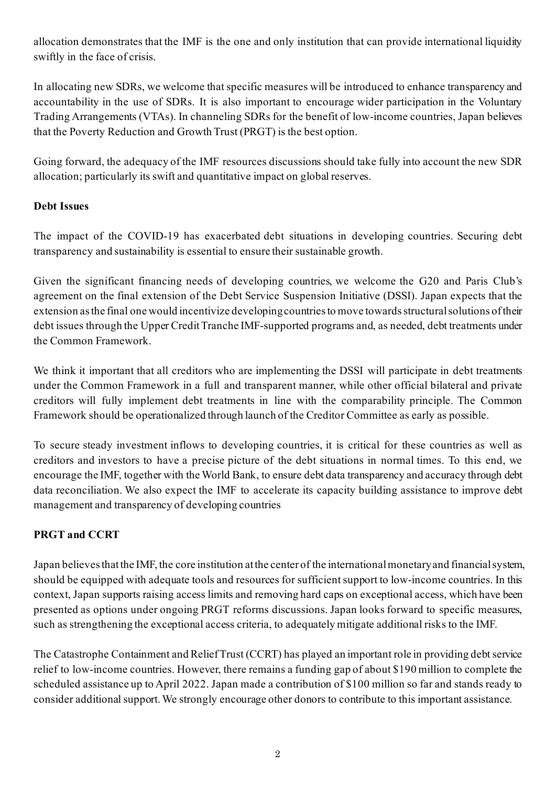allocation demonstrates that the IMF is the one and only institution that can provide international liquidity swiftly in the face of crisis.

In allocating new SDRs, we welcome that specific measures will be introduced to enhance transparency and accountability in the use of SDRs. It is also important to encourage wider participation in the Voluntary Trading Arrangements (VTAs). In channeling SDRs for the benefit of low-income countries, Japan believes that the Poverty Reduction and Growth Trust (PRGT) is the best option.

Going forward, the adequacy of the IMF resources discussions should take fully into account the new SDR allocation; particularly its swift and quantitative impact on global reserves.

## **Debt Issues**

The impact of the COVID-19 has exacerbated debt situations in developing countries. Securing debt transparency and sustainability is essential to ensure their sustainable growth.

Given the significant financing needs of developing countries, we welcome the G20 and Paris Club's agreement on the final extension of the Debt Service Suspension Initiative (DSSI). Japan expects that the extension as the final one would incentivize developing countries to move towards structural solutions of their debt issues through the Upper Credit Tranche IMF-supported programs and, as needed, debt treatments under the Common Framework.

We think it important that all creditors who are implementing the DSSI will participate in debt treatments under the Common Framework in a full and transparent manner, while other official bilateral and private creditors will fully implement debt treatments in line with the comparability principle. The Common Framework should be operationalized through launch of the Creditor Committee as early as possible.

To secure steady investment inflows to developing countries, it is critical for these countries as well as creditors and investors to have a precise picture of the debt situations in normal times. To this end, we encourage the IMF, together with the World Bank, to ensure debt data transparency and accuracy through debt data reconciliation. We also expect the IMF to accelerate its capacity building assistance to improve debt management and transparency of developing countries

# **PRGT and CCRT**

Japan believes that the IMF, the core institution at the center of the international monetary and financial system, should be equipped with adequate tools and resources for sufficient support to low-income countries. In this context, Japan supports raising access limits and removing hard caps on exceptional access, which have been presented as options under ongoing PRGT reforms discussions. Japan looks forward to specific measures, such as strengthening the exceptional access criteria, to adequately mitigate additional risks to the IMF.

The Catastrophe Containment and Relief Trust (CCRT) has played an important role in providing debt service relief to low-income countries. However, there remains a funding gap of about \$190 million to complete the scheduled assistance up to April 2022. Japan made a contribution of \$100 million so far and stands ready to consider additional support. We strongly encourage other donors to contribute to this important assistance.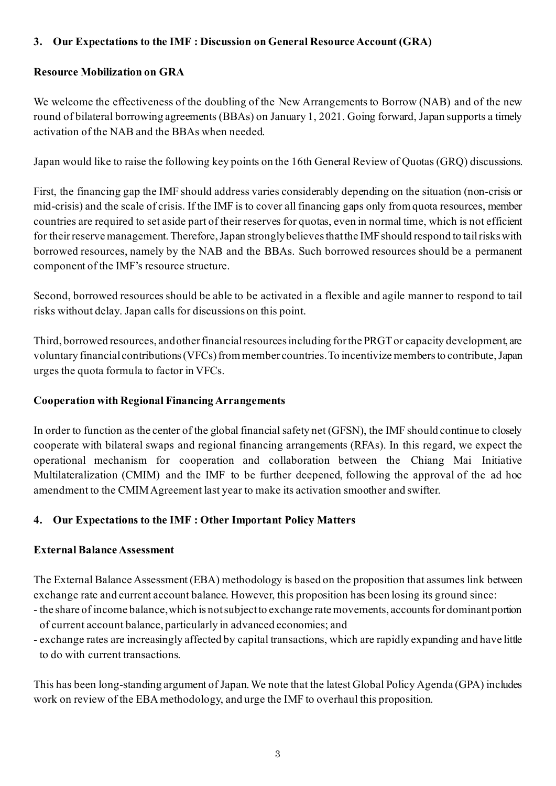## **3. Our Expectations to the IMF : Discussion on General Resource Account (GRA)**

## **Resource Mobilization on GRA**

We welcome the effectiveness of the doubling of the New Arrangements to Borrow (NAB) and of the new round of bilateral borrowing agreements (BBAs) on January 1, 2021. Going forward, Japan supports a timely activation of the NAB and the BBAs when needed.

Japan would like to raise the following key points on the 16th General Review of Quotas (GRQ) discussions.

First, the financing gap the IMF should address varies considerably depending on the situation (non-crisis or mid-crisis) and the scale of crisis. If the IMF is to cover all financing gaps only from quota resources, member countries are required to set aside part of their reserves for quotas, even in normal time, which is not efficient for their reserve management. Therefore, Japan strongly believes that the IMF should respond to tail risks with borrowed resources, namely by the NAB and the BBAs. Such borrowed resources should be a permanent component of the IMF's resource structure.

Second, borrowed resources should be able to be activated in a flexible and agile manner to respond to tail risks without delay. Japan calls for discussions on this point.

Third, borrowed resources, and other financial resources including for the PRGT or capacity development, are voluntary financial contributions (VFCs) from member countries. To incentivize members to contribute, Japan urges the quota formula to factor in VFCs.

## **Cooperation with Regional Financing Arrangements**

In order to function as the center of the global financial safety net (GFSN), the IMF should continue to closely cooperate with bilateral swaps and regional financing arrangements (RFAs). In this regard, we expect the operational mechanism for cooperation and collaboration between the Chiang Mai Initiative Multilateralization (CMIM) and the IMF to be further deepened, following the approval of the ad hoc amendment to the CMIM Agreement last year to make its activation smoother and swifter.

# **4. Our Expectations to the IMF : Other Important Policy Matters**

## **External Balance Assessment**

The External Balance Assessment (EBA) methodology is based on the proposition that assumes link between exchange rate and current account balance. However, this proposition has been losing its ground since:

- the share of income balance, which is not subject to exchange rate movements, accounts for dominant portion of current account balance, particularly in advanced economies; and
- exchange rates are increasingly affected by capital transactions, which are rapidly expanding and have little to do with current transactions.

This has been long-standing argument of Japan. We note that the latest Global Policy Agenda (GPA) includes work on review of the EBA methodology, and urge the IMF to overhaul this proposition.